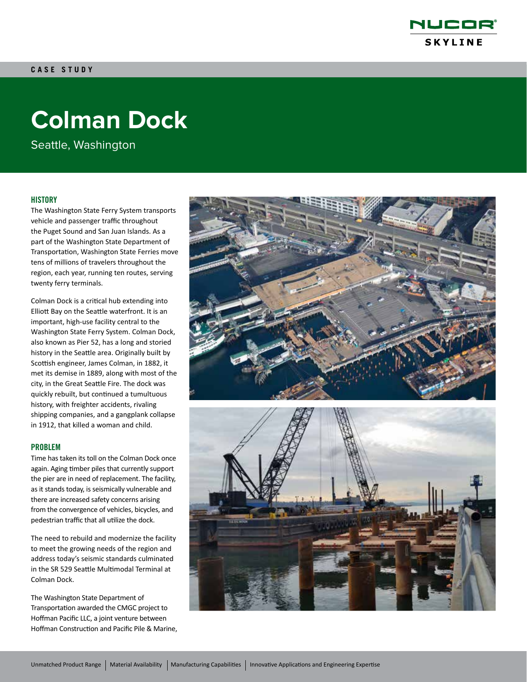

# **Colman Dock**

Seattle, Washington

# **HISTORY**

The Washington State Ferry System transports vehicle and passenger traffic throughout the Puget Sound and San Juan Islands. As a part of the Washington State Department of Transportation, Washington State Ferries move tens of millions of travelers throughout the region, each year, running ten routes, serving twenty ferry terminals.

Colman Dock is a critical hub extending into Elliott Bay on the Seattle waterfront. It is an important, high-use facility central to the Washington State Ferry System. Colman Dock, also known as Pier 52, has a long and storied history in the Seattle area. Originally built by Scottish engineer, James Colman, in 1882, it met its demise in 1889, along with most of the city, in the Great Seattle Fire. The dock was quickly rebuilt, but continued a tumultuous history, with freighter accidents, rivaling shipping companies, and a gangplank collapse in 1912, that killed a woman and child.

### PROBLEM

Time has taken its toll on the Colman Dock once again. Aging timber piles that currently support the pier are in need of replacement. The facility, as it stands today, is seismically vulnerable and there are increased safety concerns arising from the convergence of vehicles, bicycles, and pedestrian traffic that all utilize the dock.

The need to rebuild and modernize the facility to meet the growing needs of the region and address today's seismic standards culminated in the SR 529 Seattle Multimodal Terminal at Colman Dock.

The Washington State Department of Transportation awarded the CMGC project to Hoffman Pacific LLC, a joint venture between Hoffman Construction and Pacific Pile & Marine,